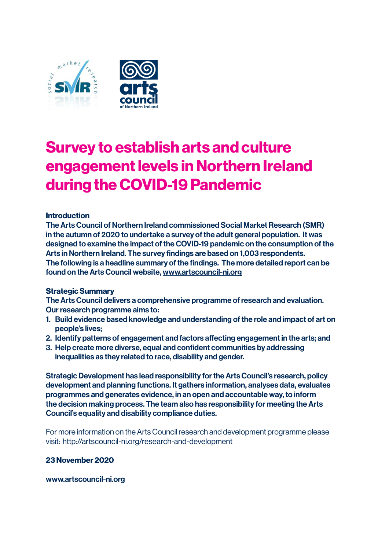

# **Survey to establish arts and culture engagement levels in Northern Ireland during the COVID-19 Pandemic**

#### **Introduction**

The Arts Council of Northern Ireland commissioned Social Market Research (SMR) in the autumn of 2020 to undertake a survey of the adult general population. It was designed to examine the impact of the COVID-19 pandemic on the consumption of the Arts in Northern Ireland. The survey findings are based on 1,003 respondents. The following is a headline summary of the findings. The more detailed report can be found on the Arts Council website, www.artscouncil-ni.org

#### **Strategic Summary**

The Arts Council delivers a comprehensive programme of research and evaluation. Our research programme aims to:

- 1. Build evidence based knowledge and understanding of the role and impact of art on people's lives;
- 2. Identify patterns of engagement and factors affecting engagement in the arts; and
- 3. Help create more diverse, equal and confident communities by addressing inequalities as they related to race, disability and gender.

Strategic Development has lead responsibility for the Arts Council's research, policy development and planning functions. It gathers information, analyses data, evaluates programmes and generates evidence, in an open and accountable way, to inform the decision making process. The team also has responsibility for meeting the Arts Council's equality and disability compliance duties.

For more information on the Arts Council research and development programme please visit: http://artscouncil-ni.org/research-and-development

### **23 November 2020**

www.artscouncil-ni.org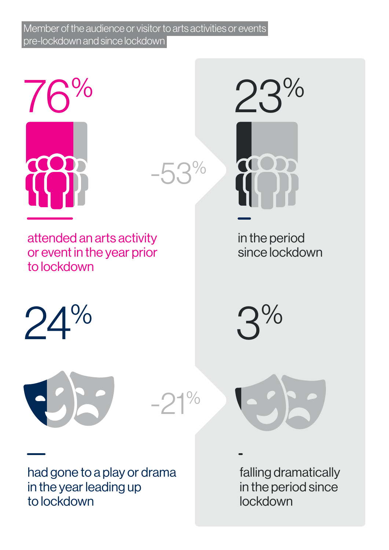Member of the audience or visitor to arts activities or events pre-lockdown and since lockdown



 $-5.3\%$ 

 $-21%$ 

attended an arts activity or event in the year prior to lockdown

23%

in the period since lockdown





had gone to a play or drama in the year leading up to lockdown

falling dramatically in the period since lockdown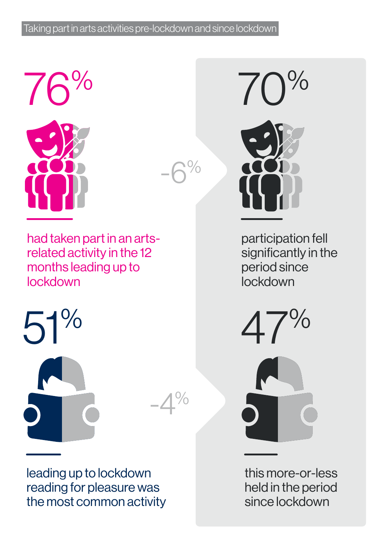## Taking part in arts activities pre-lockdown and since lockdown



had taken part in an artsrelated activity in the 12 months leading up to lockdown



 $A\%$ 

 $\%$ 

leading up to lockdown reading for pleasure was the most common activity



participation fell significantly in the period since lockdown

this more-or-less held in the period since lockdown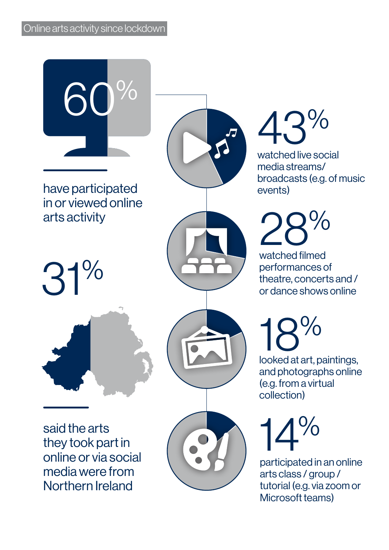

said the arts they took part in online or via social media were from Northern Ireland

# 43 %

watched live social media streams/ broadcasts (e.g. of music events)

28 %

watched filmed performances of theatre, concerts and / or dance shows online

18  $\frac{0}{0}$ 

looked at art, paintings, and photographs online (e.g. from a virtual collection)

14 %

participated in an online arts class / group / tutorial (e.g. via zoom or Microsoft teams)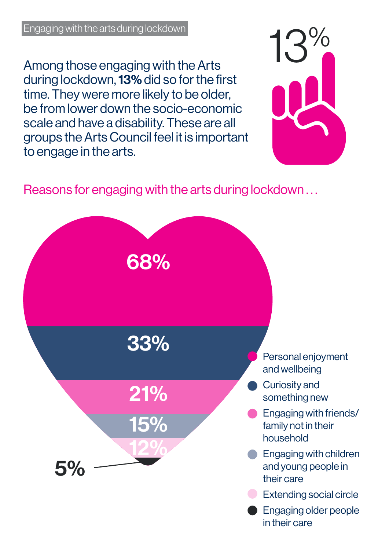Among those engaging with the Arts during lockdown, 13% did so for the first time. They were more likely to be older, be from lower down the socio-economic scale and have a disability. These are all groups the Arts Council feel it is important to engage in the arts.



# Reasons for engaging with the arts during lockdown . . .

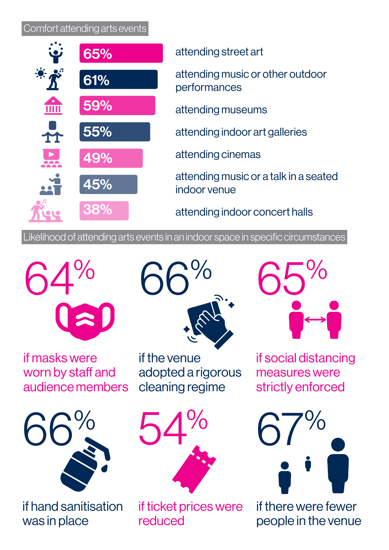## Comfort attending arts events



Likelihood of attending arts events in an indoor space in specific circumstances



if masks were worn by staff and audience members



if hand sanitisation was in place



if the venue adopted a rigorous cleaning regime



if ticket prices were reduced



if social distancing measures were strictly enforced



if there were fewer people in the venue